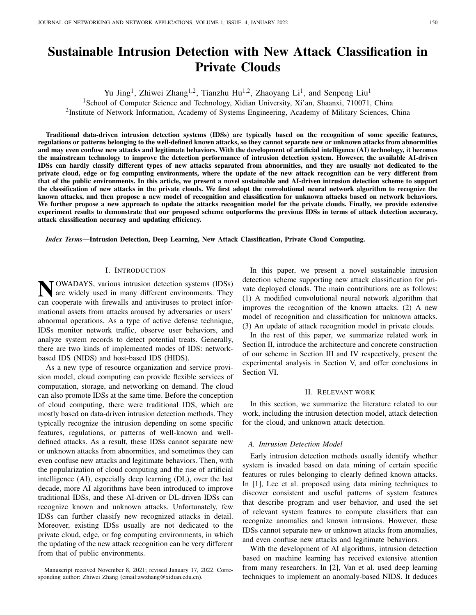# Sustainable Intrusion Detection with New Attack Classification in Private Clouds

Yu Jing<sup>1</sup>, Zhiwei Zhang<sup>1,2</sup>, Tianzhu Hu<sup>1,2</sup>, Zhaoyang Li<sup>1</sup>, and Senpeng Liu<sup>1</sup>

<sup>1</sup>School of Computer Science and Technology, Xidian University, Xi'an, Shaanxi, 710071, China

<sup>2</sup>Institute of Network Information, Academy of Systems Engineering, Academy of Military Sciences, China

Traditional data-driven intrusion detection systems (IDSs) are typically based on the recognition of some specific features, regulations or patterns belonging to the well-defined known attacks, so they cannot separate new or unknown attacks from abnormities and may even confuse new attacks and legitimate behaviors. With the development of artificial intelligence (AI) technology, it becomes the mainstream technology to improve the detection performance of intrusion detection system. However, the available AI-driven IDSs can hardly classify different types of new attacks separated from abnormities, and they are usually not dedicated to the private cloud, edge or fog computing environments, where the update of the new attack recognition can be very different from that of the public environments. In this article, we present a novel sustainable and AI-driven intrusion detection scheme to support the classification of new attacks in the private clouds. We first adopt the convolutional neural network algorithm to recognize the known attacks, and then propose a new model of recognition and classification for unknown attacks based on network behaviors. We further propose a new approach to update the attacks recognition model for the private clouds. Finally, we provide extensive experiment results to demonstrate that our proposed scheme outperforms the previous IDSs in terms of attack detection accuracy, attack classification accuracy and updating efficiency.

*Index Terms*—Intrusion Detection, Deep Learning, New Attack Classification, Private Cloud Computing.

#### I. INTRODUCTION

**N** OWADAYS, various intrusion detection systems (IDSs)<br>are widely used in many different environments. They are widely used in many different environments. They can cooperate with firewalls and antiviruses to protect informational assets from attacks aroused by adversaries or users' abnormal operations. As a type of active defense technique, IDSs monitor network traffic, observe user behaviors, and analyze system records to detect potential treats. Generally, there are two kinds of implemented modes of IDS: networkbased IDS (NIDS) and host-based IDS (HIDS).

As a new type of resource organization and service provision model, cloud computing can provide flexible services of computation, storage, and networking on demand. The cloud can also promote IDSs at the same time. Before the conception of cloud computing, there were traditional IDS, which are mostly based on data-driven intrusion detection methods. They typically recognize the intrusion depending on some specific features, regulations, or patterns of well-known and welldefined attacks. As a result, these IDSs cannot separate new or unknown attacks from abnormities, and sometimes they can even confuse new attacks and legitimate behaviors. Then, with the popularization of cloud computing and the rise of artificial intelligence (AI), especially deep learning (DL), over the last decade, more AI algorithms have been introduced to improve traditional IDSs, and these AI-driven or DL-driven IDSs can recognize known and unknown attacks. Unfortunately, few IDSs can further classify new recognized attacks in detail. Moreover, existing IDSs usually are not dedicated to the private cloud, edge, or fog computing environments, in which the updating of the new attack recognition can be very different from that of public environments.

In this paper, we present a novel sustainable intrusion detection scheme supporting new attack classification for private deployed clouds. The main contributions are as follows: (1) A modified convolutional neural network algorithm that improves the recognition of the known attacks. (2) A new model of recognition and classification for unknown attacks. (3) An update of attack recognition model in private clouds.

In the rest of this paper, we summarize related work in Section II, introduce the architecture and concrete construction of our scheme in Section III and IV respectively, present the experimental analysis in Section V, and offer conclusions in Section VI.

#### II. RELEVANT WORK

In this section, we summarize the literature related to our work, including the intrusion detection model, attack detection for the cloud, and unknown attack detection.

#### *A. Intrusion Detection Model*

Early intrusion detection methods usually identify whether system is invaded based on data mining of certain specific features or rules belonging to clearly defined known attacks. In [1], Lee et al. proposed using data mining techniques to discover consistent and useful patterns of system features that describe program and user behavior, and used the set of relevant system features to compute classifiers that can recognize anomalies and known intrusions. However, these IDSs cannot separate new or unknown attacks from anomalies, and even confuse new attacks and legitimate behaviors.

With the development of AI algorithms, intrusion detection based on machine learning has received extensive attention from many researchers. In [2], Van et al. used deep learning techniques to implement an anomaly-based NIDS. It deduces

Manuscript received November 8, 2021; revised January 17, 2022. Corresponding author: Zhiwei Zhang (email:zwzhang@xidian.edu.cn).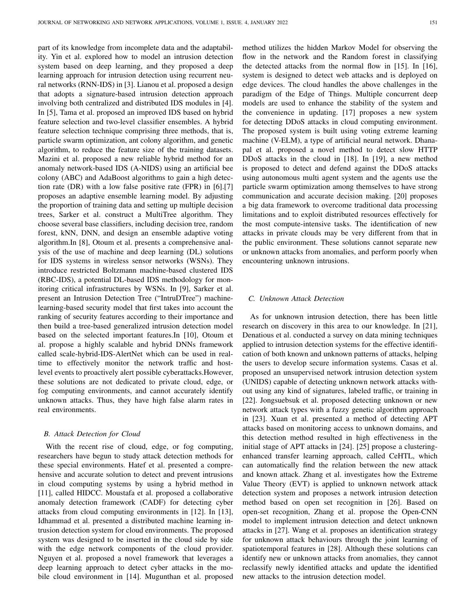part of its knowledge from incomplete data and the adaptability. Yin et al. explored how to model an intrusion detection system based on deep learning, and they proposed a deep learning approach for intrusion detection using recurrent neural networks (RNN-IDS) in [3]. Lianou et al. proposed a design that adopts a signature-based intrusion detection approach involving both centralized and distributed IDS modules in [4]. In [5], Tama et al. proposed an improved IDS based on hybrid feature selection and two-level classifier ensembles. A hybrid feature selection technique comprising three methods, that is, particle swarm optimization, ant colony algorithm, and genetic algorithm, to reduce the feature size of the training datasets. Mazini et al. proposed a new reliable hybrid method for an anomaly network-based IDS (A-NIDS) using an artificial bee colony (ABC) and AdaBoost algorithms to gain a high detection rate (DR) with a low false positive rate (FPR) in [6].[7] proposes an adaptive ensemble learning model. By adjusting the proportion of training data and setting up multiple decision trees, Sarker et al. construct a MultiTree algorithm. They choose several base classifiers, including decision tree, random forest, kNN, DNN, and design an ensemble adaptive voting algorithm.In [8], Otoum et al. presents a comprehensive analysis of the use of machine and deep learning (DL) solutions for IDS systems in wireless sensor networks (WSNs). They introduce restricted Boltzmann machine-based clustered IDS (RBC-IDS), a potential DL-based IDS methodology for monitoring critical infrastructures by WSNs. In [9], Sarker et al. present an Intrusion Detection Tree ("IntruDTree") machinelearning-based security model that first takes into account the ranking of security features according to their importance and then build a tree-based generalized intrusion detection model based on the selected important features.In [10], Otoum et al. propose a highly scalable and hybrid DNNs framework called scale-hybrid-IDS-AlertNet which can be used in realtime to effectively monitor the network traffic and hostlevel events to proactively alert possible cyberattacks.However, these solutions are not dedicated to private cloud, edge, or fog computing environments, and cannot accurately identify unknown attacks. Thus, they have high false alarm rates in real environments.

#### *B. Attack Detection for Cloud*

With the recent rise of cloud, edge, or fog computing, researchers have begun to study attack detection methods for these special environments. Hatef et al. presented a comprehensive and accurate solution to detect and prevent intrusions in cloud computing systems by using a hybrid method in [11], called HIDCC. Moustafa et al. proposed a collaborative anomaly detection framework (CADF) for detecting cyber attacks from cloud computing environments in [12]. In [13], Idhammad et al. presented a distributed machine learning intrusion detection system for cloud environments. The proposed system was designed to be inserted in the cloud side by side with the edge network components of the cloud provider. Nguyen et al. proposed a novel framework that leverages a deep learning approach to detect cyber attacks in the mobile cloud environment in [14]. Mugunthan et al. proposed method utilizes the hidden Markov Model for observing the flow in the network and the Random forest in classifying the detected attacks from the normal flow in [15]. In [16], system is designed to detect web attacks and is deployed on edge devices. The cloud handles the above challenges in the paradigm of the Edge of Things. Multiple concurrent deep models are used to enhance the stability of the system and the convenience in updating. [17] proposes a new system for detecting DDoS attacks in cloud computing environment. The proposed system is built using voting extreme learning machine (V-ELM), a type of artificial neural network. Dhanapal et al. proposed a novel method to detect slow HTTP DDoS attacks in the cloud in [18]. In [19], a new method is proposed to detect and defend against the DDoS attacks using autonomous multi agent system and the agents use the particle swarm optimization among themselves to have strong communication and accurate decision making. [20] proposes a big data framework to overcome traditional data processing limitations and to exploit distributed resources effectively for the most compute-intensive tasks. The identification of new attacks in private clouds may be very different from that in the public environment. These solutions cannot separate new or unknown attacks from anomalies, and perform poorly when encountering unknown intrusions.

## *C. Unknown Attack Detection*

As for unknown intrusion detection, there has been little research on discovery in this area to our knowledge. In [21], Denatious et al. conducted a survey on data mining techniques applied to intrusion detection systems for the effective identification of both known and unknown patterns of attacks, helping the users to develop secure information systems. Casas et al. proposed an unsupervised network intrusion detection system (UNIDS) capable of detecting unknown network attacks without using any kind of signatures, labeled traffic, or training in [22]. Jongsuebsuk et al. proposed detecting unknown or new network attack types with a fuzzy genetic algorithm approach in [23]. Xuan et al. presented a method of detecting APT attacks based on monitoring access to unknown domains, and this detection method resulted in high effectiveness in the initial stage of APT attacks in [24]. [25] propose a clusteringenhanced transfer learning approach, called CeHTL, which can automatically find the relation between the new attack and known attack. Zhang et al. investigates how the Extreme Value Theory (EVT) is applied to unknown network attack detection system and proposes a network intrusion detection method based on open set recognition in [26]. Based on open-set recognition, Zhang et al. propose the Open-CNN model to implement intrusion detection and detect unknown attacks in [27]. Wang et al. proposes an identification strategy for unknown attack behaviours through the joint learning of spatiotemporal features in [28]. Although these solutions can identify new or unknown attacks from anomalies, they cannot reclassify newly identified attacks and update the identified new attacks to the intrusion detection model.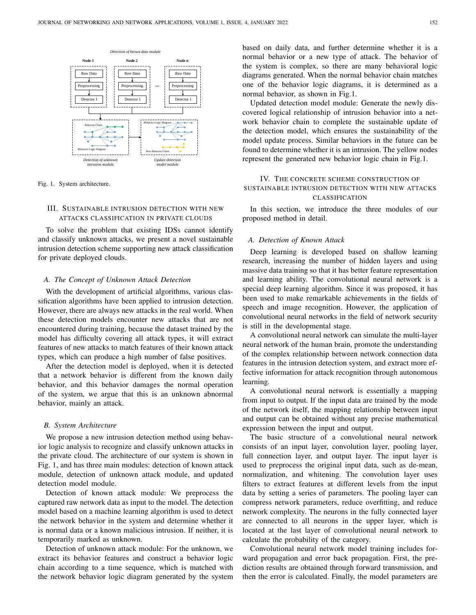

Fig. 1. System architecture.

## III. SUSTAINABLE INTRUSION DETECTION WITH NEW ATTACKS CLASSIFICATION IN PRIVATE CLOUDS

To solve the problem that existing IDSs cannot identify and classify unknown attacks, we present a novel sustainable intrusion detection scheme supporting new attack classification for private deployed clouds.

#### *A. The Concept of Unknown Attack Detection*

With the development of artificial algorithms, various classification algorithms have been applied to intrusion detection. However, there are always new attacks in the real world. When these detection models encounter new attacks that are not encountered during training, because the dataset trained by the model has difficulty covering all attack types, it will extract features of new attacks to match features of their known attack types, which can produce a high number of false positives.

After the detection model is deployed, when it is detected that a network behavior is different from the known daily behavior, and this behavior damages the normal operation of the system, we argue that this is an unknown abnormal behavior, mainly an attack.

#### *B. System Architecture*

We propose a new intrusion detection method using behavior logic analysis to recognize and classify unknown attacks in the private cloud. The architecture of our system is shown in Fig. 1, and has three main modules: detection of known attack module, detection of unknown attack module, and updated detection model module.

Detection of known attack module: We preprocess the captured raw network data as input to the model. The detection model based on a machine learning algorithm is used to detect the network behavior in the system and determine whether it is normal data or a known malicious intrusion. If neither, it is temporarily marked as unknown.

Detection of unknown attack module: For the unknown, we extract its behavior features and construct a behavior logic chain according to a time sequence, which is matched with the network behavior logic diagram generated by the system based on daily data, and further determine whether it is a normal behavior or a new type of attack. The behavior of the system is complex, so there are many behavioral logic diagrams generated. When the normal behavior chain matches one of the behavior logic diagrams, it is determined as a normal behavior, as shown in Fig.1.

Updated detection model module: Generate the newly discovered logical relationship of intrusion behavior into a network behavior chain to complete the sustainable update of the detection model, which ensures the sustainability of the model update process. Similar behaviors in the future can be found to determine whether it is an intrusion. The yellow nodes represent the generated new behavior logic chain in Fig.1.

## IV. THE CONCRETE SCHEME CONSTRUCTION OF SUSTAINABLE INTRUSION DETECTION WITH NEW ATTACKS CLASSIFICATION

In this section, we introduce the three modules of our proposed method in detail.

## *A. Detection of Known Attack*

Deep learning is developed based on shallow learning research, increasing the number of hidden layers and using massive data training so that it has better feature representation and learning ability. The convolutional neural network is a special deep learning algorithm. Since it was proposed, it has been used to make remarkable achievements in the fields of speech and image recognition. However, the application of convolutional neural networks in the field of network security is still in the developmental stage.

A convolutional neural network can simulate the multi-layer neural network of the human brain, promote the understanding of the complex relationship between network connection data features in the intrusion detection system, and extract more effective information for attack recognition through autonomous learning.

A convolutional neural network is essentially a mapping from input to output. If the input data are trained by the mode of the network itself, the mapping relationship between input and output can be obtained without any precise mathematical expression between the input and output.

The basic structure of a convolutional neural network consists of an input layer, convolution layer, pooling layer, full connection layer, and output layer. The input layer is used to preprocess the original input data, such as de-mean, normalization, and whitening. The convolution layer uses filters to extract features at different levels from the input data by setting a series of parameters. The pooling layer can compress network parameters, reduce overfitting, and reduce network complexity. The neurons in the fully connected layer are connected to all neurons in the upper layer, which is located at the last layer of convolutional neural network to calculate the probability of the category.

Convolutional neural network model training includes forward propagation and error back propagation. First, the prediction results are obtained through forward transmission, and then the error is calculated. Finally, the model parameters are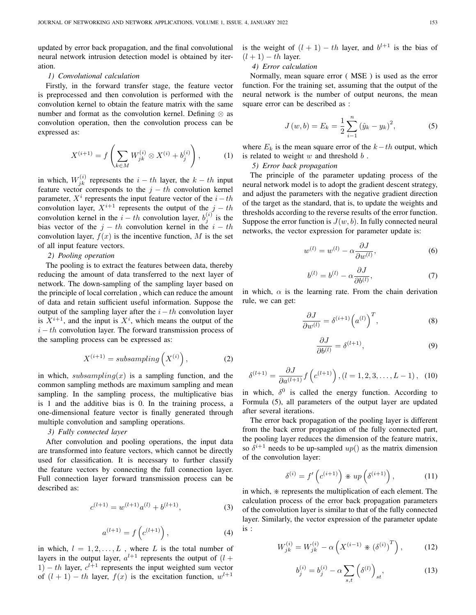updated by error back propagation, and the final convolutional neural network intrusion detection model is obtained by iteration.

#### *1) Convolutional calculation*

Firstly, in the forward transfer stage, the feature vector is preprocessed and then convolution is performed with the convolution kernel to obtain the feature matrix with the same number and format as the convolution kernel. Defining  $\otimes$  as convolution operation, then the convolution process can be expressed as:

$$
X^{(i+1)} = f\left(\sum_{k \in M} W_{jk}^{(i)} \otimes X^{(i)} + b_j^{(i)}\right),\tag{1}
$$

in which,  $W_{jk}^{(i)}$  represents the  $i-th$  layer, the  $k-th$  input feature vector corresponds to the  $j - th$  convolution kernel parameter,  $X^i$  represents the input feature vector of the  $i-th$ convolution layer,  $X^{i+1}$  represents the output of the  $j - th$ convolution kernel in the  $i-th$  convolution layer,  $b_j^{(i)}$  is the bias vector of the  $j - th$  convolution kernel in the  $i - th$ convolution layer,  $f(x)$  is the incentive function, M is the set of all input feature vectors.

#### *2) Pooling operation*

The pooling is to extract the features between data, thereby reducing the amount of data transferred to the next layer of network. The down-sampling of the sampling layer based on the principle of local correlation , which can reduce the amount of data and retain sufficient useful information. Suppose the output of the sampling layer after the  $i-th$  convolution layer is  $X^{i+1}$ , and the input is  $X^i$ , which means the output of the  $i - th$  convolution layer. The forward transmission process of the sampling process can be expressed as:

$$
X^{(i+1)} = subsampling\left(X^{(i)}\right),\tag{2}
$$

in which,  $subsampling(x)$  is a sampling function, and the common sampling methods are maximum sampling and mean sampling. In the sampling process, the multiplicative bias is 1 and the additive bias is 0. In the training process, a one-dimensional feature vector is finally generated through multiple convolution and sampling operations.

## *3) Fully connected layer*

After convolution and pooling operations, the input data are transformed into feature vectors, which cannot be directly used for classification. It is necessary to further classify the feature vectors by connecting the full connection layer. Full connection layer forward transmission process can be described as:

$$
c^{(l+1)} = w^{(l+1)}a^{(l)} + b^{(l+1)},
$$
\n(3)

$$
a^{(l+1)} = f\left(c^{(l+1)}\right), \tag{4}
$$

in which,  $l = 1, 2, \dots, L$ , where L is the total number of layers in the output layer,  $a^{l+1}$  represents the output of  $(l +$ 1) – th layer,  $c^{l+1}$  represents the input weighted sum vector of  $(l + 1) - th$  layer,  $f(x)$  is the excitation function,  $w^{l+1}$ 

is the weight of  $(l + 1) - th$  layer, and  $b^{l+1}$  is the bias of  $(l + 1) - th$  layer.

## *4) Error calculation*

Normally, mean square error ( MSE ) is used as the error function. For the training set, assuming that the output of the neural network is the number of output neurons, the mean square error can be described as :

$$
J(w, b) = E_k = \frac{1}{2} \sum_{i=1}^{n} (\hat{y}_k - y_k)^2,
$$
 (5)

where  $E_k$  is the mean square error of the  $k-th$  output, which is related to weight  $w$  and threshold  $b$ .

*5) Error back propagation*

The principle of the parameter updating process of the neural network model is to adopt the gradient descent strategy, and adjust the parameters with the negative gradient direction of the target as the standard, that is, to update the weights and thresholds according to the reverse results of the error function. Suppose the error function is  $J(w, b)$ . In fully connected neural networks, the vector expression for parameter update is:

$$
w^{(l)} = w^{(l)} - \alpha \frac{\partial J}{\partial w^{(l)}},\tag{6}
$$

$$
b^{(l)} = b^{(l)} - \alpha \frac{\partial J}{\partial b^{(l)}},\tag{7}
$$

in which,  $\alpha$  is the learning rate. From the chain derivation rule, we can get:

$$
\frac{\partial J}{\partial w^{(l)}} = \delta^{(i+1)} \left( a^{(l)} \right)^T, \tag{8}
$$

$$
\frac{\partial J}{\partial b^{(l)}} = \delta^{(l+1)},\tag{9}
$$

$$
\delta^{(l+1)} = \frac{\partial J}{\partial a^{(l+1)}} f\left(c^{(l+1)}\right), (l = 1, 2, 3, \dots, L-1), (10)
$$

in which,  $\delta^0$  is called the energy function. According to Formula (5), all parameters of the output layer are updated after several iterations.

The error back propagation of the pooling layer is different from the back error propagation of the fully connected part, the pooling layer reduces the dimension of the feature matrix, so  $\delta^{i+1}$  needs to be up-sampled  $up()$  as the matrix dimension of the convolution layer:

$$
\delta^{(i)} = f'\left(c^{(i+1)}\right) * up\left(\delta^{(i+1)}\right),\tag{11}
$$

in which,  $*$  represents the multiplication of each element. The calculation process of the error back propagation parameters of the convolution layer is similar to that of the fully connected layer. Similarly, the vector expression of the parameter update is :

$$
W_{jk}^{(i)} = W_{jk}^{(i)} - \alpha \left( X^{(i-1)} * (\delta^{(i)})^T \right), \quad (12)
$$

$$
b_j^{(i)} = b_j^{(i)} - \alpha \sum_{s,t} \left( \delta^{(l)} \right)_{st}, \tag{13}
$$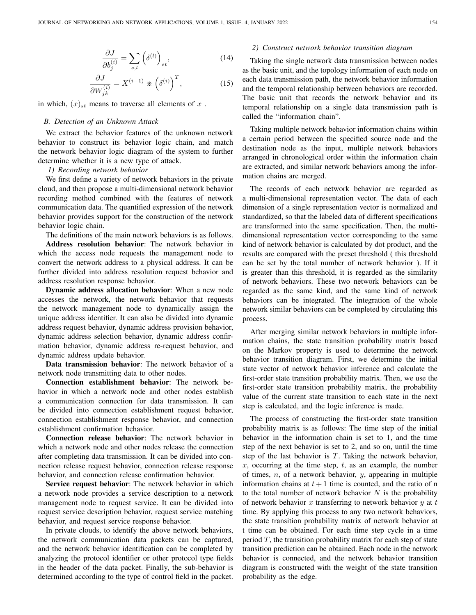$$
\frac{\partial J}{\partial b_j^{(i)}} = \sum_{s,t} \left( \delta^{(l)} \right)_{st},\tag{14}
$$

$$
\frac{\partial J}{\partial W_{jk}^{(i)}} = X^{(i-1)} \ast \left(\delta^{(i)}\right)^T, \tag{15}
$$

in which,  $(x)_{st}$  means to traverse all elements of x.

#### *B. Detection of an Unknown Attack*

We extract the behavior features of the unknown network behavior to construct its behavior logic chain, and match the network behavior logic diagram of the system to further determine whether it is a new type of attack.

#### *1) Recording network behavior*

We first define a variety of network behaviors in the private cloud, and then propose a multi-dimensional network behavior recording method combined with the features of network communication data. The quantified expression of the network behavior provides support for the construction of the network behavior logic chain.

The definitions of the main network behaviors is as follows. Address resolution behavior: The network behavior in which the access node requests the management node to convert the network address to a physical address. It can be further divided into address resolution request behavior and address resolution response behavior.

Dynamic address allocation behavior: When a new node accesses the network, the network behavior that requests the network management node to dynamically assign the unique address identifier. It can also be divided into dynamic address request behavior, dynamic address provision behavior, dynamic address selection behavior, dynamic address confirmation behavior, dynamic address re-request behavior, and dynamic address update behavior.

Data transmission behavior: The network behavior of a network node transmitting data to other nodes.

Connection establishment behavior: The network behavior in which a network node and other nodes establish a communication connection for data transmission. It can be divided into connection establishment request behavior, connection establishment response behavior, and connection establishment confirmation behavior.

Connection release behavior: The network behavior in which a network node and other nodes release the connection after completing data transmission. It can be divided into connection release request behavior, connection release response behavior, and connection release confirmation behavior.

Service request behavior: The network behavior in which a network node provides a service description to a network management node to request service. It can be divided into request service description behavior, request service matching behavior, and request service response behavior.

In private clouds, to identify the above network behaviors, the network communication data packets can be captured, and the network behavior identification can be completed by analyzing the protocol identifier or other protocol type fields in the header of the data packet. Finally, the sub-behavior is determined according to the type of control field in the packet.

## *2) Construct network behavior transition diagram*

Taking the single network data transmission between nodes as the basic unit, and the topology information of each node on each data transmission path, the network behavior information and the temporal relationship between behaviors are recorded. The basic unit that records the network behavior and its temporal relationship on a single data transmission path is called the "information chain".

Taking multiple network behavior information chains within a certain period between the specified source node and the destination node as the input, multiple network behaviors arranged in chronological order within the information chain are extracted, and similar network behaviors among the information chains are merged.

The records of each network behavior are regarded as a multi-dimensional representation vector. The data of each dimension of a single representation vector is normalized and standardized, so that the labeled data of different specifications are transformed into the same specification. Then, the multidimensional representation vector corresponding to the same kind of network behavior is calculated by dot product, and the results are compared with the preset threshold ( this threshold can be set by the total number of network behavior ). If it is greater than this threshold, it is regarded as the similarity of network behaviors. These two network behaviors can be regarded as the same kind, and the same kind of network behaviors can be integrated. The integration of the whole network similar behaviors can be completed by circulating this process.

After merging similar network behaviors in multiple information chains, the state transition probability matrix based on the Markov property is used to determine the network behavior transition diagram. First, we determine the initial state vector of network behavior inference and calculate the first-order state transition probability matrix. Then, we use the first-order state transition probability matrix, the probability value of the current state transition to each state in the next step is calculated, and the logic inference is made.

The process of constructing the first-order state transition probability matrix is as follows: The time step of the initial behavior in the information chain is set to 1, and the time step of the next behavior is set to 2, and so on, until the time step of the last behavior is  $T$ . Taking the network behavior,  $x$ , occurring at the time step,  $t$ , as an example, the number of times,  $n$ , of a network behavior,  $y$ , appearing in multiple information chains at  $t + 1$  time is counted, and the ratio of n to the total number of network behavior  $N$  is the probability of network behavior x transferring to network behavior y at t time. By applying this process to any two network behaviors, the state transition probability matrix of network behavior at t time can be obtained. For each time step cycle in a time period  $T$ , the transition probability matrix for each step of state transition prediction can be obtained. Each node in the network behavior is connected, and the network behavior transition diagram is constructed with the weight of the state transition probability as the edge.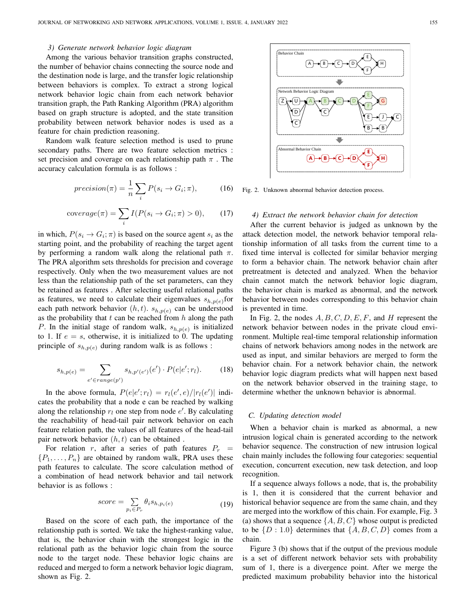## *3) Generate network behavior logic diagram*

Among the various behavior transition graphs constructed, the number of behavior chains connecting the source node and the destination node is large, and the transfer logic relationship between behaviors is complex. To extract a strong logical network behavior logic chain from each network behavior transition graph, the Path Ranking Algorithm (PRA) algorithm based on graph structure is adopted, and the state transition probability between network behavior nodes is used as a feature for chain prediction reasoning.

Random walk feature selection method is used to prune secondary paths. There are two feature selection metrics : set precision and coverage on each relationship path  $\pi$ . The accuracy calculation formula is as follows :

$$
precision(\pi) = \frac{1}{n} \sum_{i} P(s_i \to G_i; \pi), \tag{16}
$$

$$
coverage(\pi) = \sum_{i} I(P(s_i \to G_i; \pi) > 0), \qquad (17)
$$

in which,  $P(s_i \to G_i; \pi)$  is based on the source agent  $s_i$  as the starting point, and the probability of reaching the target agent by performing a random walk along the relational path  $\pi$ . The PRA algorithm sets thresholds for precision and coverage respectively. Only when the two measurement values are not less than the relationship path of the set parameters, can they be retained as features . After selecting useful relational paths as features, we need to calculate their eigenvalues  $s_{h,p(e)}$  for each path network behavior  $(h, t)$ .  $s_{h, p(e)}$  can be understood as the probability that  $t$  can be reached from  $h$  along the path P. In the initial stage of random walk,  $s_{h,p(e)}$  is initialized to 1. If  $e = s$ , otherwise, it is initialized to 0. The updating principle of  $s_{h,p(e)}$  during random walk is as follows :

$$
s_{h,p(e)} = \sum_{e' \in range(p')} s_{h,p'(e')}(e') \cdot P(e|e';r_l). \tag{18}
$$

In the above formula,  $P(e|e';r_l) = r_l(e',e)/|r_l(e')|$  indicates the probability that a node e can be reached by walking along the relationship  $r_l$  one step from node  $e'$ . By calculating the reachability of head-tail pair network behavior on each feature relation path, the values of all features of the head-tail pair network behavior  $(h, t)$  can be obtained.

For relation r, after a series of path features  $P_r$  =  $\{P_1, \ldots, P_n\}$  are obtained by random walk, PRA uses these path features to calculate. The score calculation method of a combination of head network behavior and tail network behavior is as follows :

$$
score = \sum_{p_i \in P_r} \theta_i s_{h, p_i(e)} \tag{19}
$$

Based on the score of each path, the importance of the relationship path is sorted. We take the highest-ranking value, that is, the behavior chain with the strongest logic in the relational path as the behavior logic chain from the source node to the target node. These behavior logic chains are reduced and merged to form a network behavior logic diagram, shown as Fig. 2.



Fig. 2. Unknown abnormal behavior detection process.

## *4) Extract the network behavior chain for detection*

After the current behavior is judged as unknown by the attack detection model, the network behavior temporal relationship information of all tasks from the current time to a fixed time interval is collected for similar behavior merging to form a behavior chain. The network behavior chain after pretreatment is detected and analyzed. When the behavior chain cannot match the network behavior logic diagram, the behavior chain is marked as abnormal, and the network behavior between nodes corresponding to this behavior chain is prevented in time.

In Fig. 2, the nodes  $A, B, C, D, E, F$ , and H represent the network behavior between nodes in the private cloud environment. Multiple real-time temporal relationship information chains of network behaviors among nodes in the network are used as input, and similar behaviors are merged to form the behavior chain. For a network behavior chain, the network behavior logic diagram predicts what will happen next based on the network behavior observed in the training stage, to determine whether the unknown behavior is abnormal.

#### *C. Updating detection model*

When a behavior chain is marked as abnormal, a new intrusion logical chain is generated according to the network behavior sequence. The construction of new intrusion logical chain mainly includes the following four categories: sequential execution, concurrent execution, new task detection, and loop recognition.

If a sequence always follows a node, that is, the probability is 1, then it is considered that the current behavior and historical behavior sequence are from the same chain, and they are merged into the workflow of this chain. For example, Fig. 3 (a) shows that a sequence  $\{A, B, C\}$  whose output is predicted to be  $\{D: 1.0\}$  determines that  $\{A, B, C, D\}$  comes from a chain.

Figure 3 (b) shows that if the output of the previous module is a set of different network behavior sets with probability sum of 1, there is a divergence point. After we merge the predicted maximum probability behavior into the historical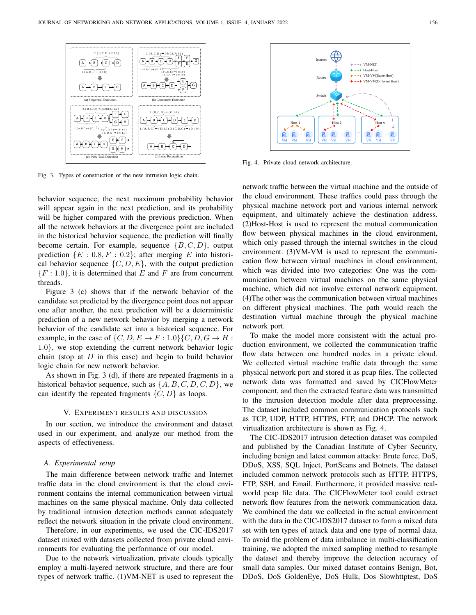

Fig. 3. Types of construction of the new intrusion logic chain.

behavior sequence, the next maximum probability behavior will appear again in the next prediction, and its probability will be higher compared with the previous prediction. When all the network behaviors at the divergence point are included in the historical behavior sequence, the prediction will finally become certain. For example, sequence  $\{B, C, D\}$ , output prediction  $\{E : 0.8, F : 0.2\}$ ; after merging E into historical behavior sequence  $\{C, D, E\}$ , with the output prediction  ${F : 1.0}$ , it is determined that E and F are from concurrent threads.

Figure 3 (c) shows that if the network behavior of the candidate set predicted by the divergence point does not appear one after another, the next prediction will be a deterministic prediction of a new network behavior by merging a network behavior of the candidate set into a historical sequence. For example, in the case of  $\{C, D, E \to F : 1.0\} \{C, D, G \to H$ : 1.0}, we stop extending the current network behavior logic chain (stop at  $D$  in this case) and begin to build behavior logic chain for new network behavior.

As shown in Fig. 3 (d), if there are repeated fragments in a historical behavior sequence, such as  $\{A, B, C, D, C, D\}$ , we can identify the repeated fragments  $\{C, D\}$  as loops.

#### V. EXPERIMENT RESULTS AND DISCUSSION

In our section, we introduce the environment and dataset used in our experiment, and analyze our method from the aspects of effectiveness.

#### *A. Experimental setup*

The main difference between network traffic and Internet traffic data in the cloud environment is that the cloud environment contains the internal communication between virtual machines on the same physical machine. Only data collected by traditional intrusion detection methods cannot adequately reflect the network situation in the private cloud environment.

Therefore, in our experiments, we used the CIC-IDS2017 dataset mixed with datasets collected from private cloud environments for evaluating the performance of our model.

Due to the network virtualization, private clouds typically employ a multi-layered network structure, and there are four types of network traffic. (1)VM-NET is used to represent the



Fig. 4. Private cloud network architecture.

network traffic between the virtual machine and the outside of the cloud environment. These traffics could pass through the physical machine network port and various internal network equipment, and ultimately achieve the destination address. (2)Host-Host is used to represent the mutual communication flow between physical machines in the cloud environment, which only passed through the internal switches in the cloud environment. (3)VM-VM is used to represent the communication flow between virtual machines in cloud environment, which was divided into two categories: One was the communication between virtual machines on the same physical machine, which did not involve external network equipment. (4)The other was the communication between virtual machines on different physical machines. The path would reach the destination virtual machine through the physical machine network port.

To make the model more consistent with the actual production environment, we collected the communication traffic flow data between one hundred nodes in a private cloud. We collected virtual machine traffic data through the same physical network port and stored it as pcap files. The collected network data was formatted and saved by CICFlowMeter component, and then the extracted feature data was transmitted to the intrusion detection module after data preprocessing. The dataset included common communication protocols such as TCP, UDP, HTTP, HTTPS, FTP, and DHCP. The network virtualization architecture is shown as Fig. 4.

The CIC-IDS2017 intrusion detection dataset was compiled and published by the Canadian Institute of Cyber Security, including benign and latest common attacks: Brute force, DoS, DDoS, XSS, SQL Inject, PortScans and Botnets. The dataset included common network protocols such as HTTP, HTTPS, FTP, SSH, and Email. Furthermore, it provided massive realworld pcap file data. The CICFlowMeter tool could extract network flow features from the network communication data. We combined the data we collected in the actual environment with the data in the CIC-IDS2017 dataset to form a mixed data set with ten types of attack data and one type of normal data. To avoid the problem of data imbalance in multi-classification training, we adopted the mixed sampling method to resample the dataset and thereby improve the detection accuracy of small data samples. Our mixed dataset contains Benign, Bot, DDoS, DoS GoldenEye, DoS Hulk, Dos Slowhttptest, DoS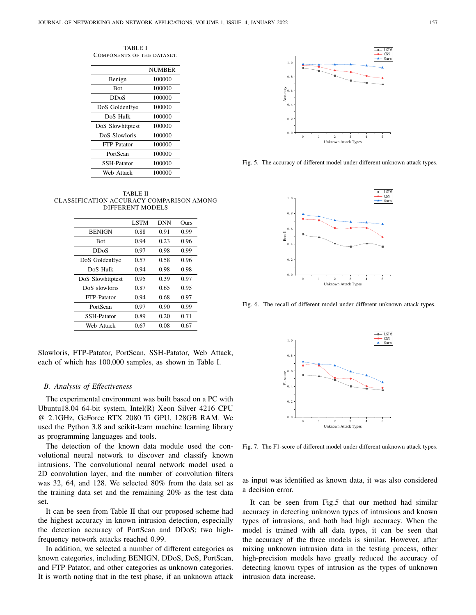TABLE I COMPONENTS OF THE DATASET.

|                    | <b>NUMBER</b> |  |
|--------------------|---------------|--|
| Benign             | 100000        |  |
| Bot                | 100000        |  |
| DDoS               | 100000        |  |
| DoS GoldenEye      | 100000        |  |
| DoS Hulk           | 100000        |  |
| DoS Slowhttptest   | 100000        |  |
| DoS Slowloris      | 100000        |  |
| <b>FTP-Patator</b> | 100000        |  |
| PortScan           | 100000        |  |
| <b>SSH-Patator</b> | 100000        |  |
| Web Attack         | 100000        |  |

TABLE II CLASSIFICATION ACCURACY COMPARISON AMONG DIFFERENT MODELS

|                    | <b>LSTM</b> | <b>DNN</b> | Ours |
|--------------------|-------------|------------|------|
| <b>BENIGN</b>      | 0.88        | 0.91       | 0.99 |
| <b>Bot</b>         | 0.94        | 0.23       | 0.96 |
| DDoS               | 0.97        | 0.98       | 0.99 |
| DoS GoldenEye      | 0.57        | 0.58       | 0.96 |
| DoS Hulk           | 0.94        | 0.98       | 0.98 |
| DoS Slowhttptest   | 0.95        | 0.39       | 0.97 |
| DoS slowloris      | 0.87        | 0.65       | 0.95 |
| FTP-Patator        | 0.94        | 0.68       | 0.97 |
| PortScan           | 0.97        | 0.90       | 0.99 |
| <b>SSH-Patator</b> | 0.89        | 0.20       | 0.71 |
| Web Attack         | 0.67        | 0.08       | 0.67 |

Slowloris, FTP-Patator, PortScan, SSH-Patator, Web Attack, each of which has 100,000 samples, as shown in Table I.

#### *B. Analysis of Effectiveness*

The experimental environment was built based on a PC with Ubuntu18.04 64-bit system, Intel(R) Xeon Silver 4216 CPU @ 2.1GHz, GeForce RTX 2080 Ti GPU, 128GB RAM. We used the Python 3.8 and scikit-learn machine learning library as programming languages and tools.

The detection of the known data module used the convolutional neural network to discover and classify known intrusions. The convolutional neural network model used a 2D convolution layer, and the number of convolution filters was 32, 64, and 128. We selected 80% from the data set as the training data set and the remaining 20% as the test data set.

It can be seen from Table II that our proposed scheme had the highest accuracy in known intrusion detection, especially the detection accuracy of PortScan and DDoS; two highfrequency network attacks reached 0.99.

In addition, we selected a number of different categories as known categories, including BENIGN, DDoS, DoS, PortScan, and FTP Patator, and other categories as unknown categories. It is worth noting that in the test phase, if an unknown attack



Fig. 5. The accuracy of different model under different unknown attack types.



Fig. 6. The recall of different model under different unknown attack types.



Fig. 7. The F1-score of different model under different unknown attack types.

as input was identified as known data, it was also considered a decision error.

It can be seen from Fig.5 that our method had similar accuracy in detecting unknown types of intrusions and known types of intrusions, and both had high accuracy. When the model is trained with all data types, it can be seen that the accuracy of the three models is similar. However, after mixing unknown intrusion data in the testing process, other high-precision models have greatly reduced the accuracy of detecting known types of intrusion as the types of unknown intrusion data increase.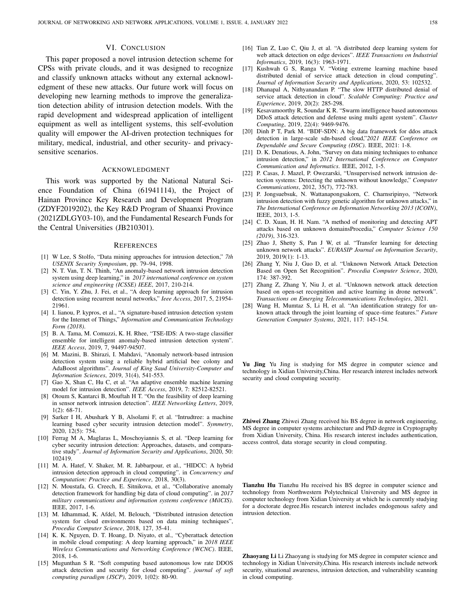## VI. CONCLUSION

This paper proposed a novel intrusion detection scheme for CPSs with private clouds, and it was designed to recognize and classify unknown attacks without any external acknowledgment of these new attacks. Our future work will focus on developing new learning methods to improve the generalization detection ability of intrusion detection models. With the rapid development and widespread application of intelligent equipment as well as intelligent systems, this self-evolution quality will empower the AI-driven protection techniques for military, medical, industrial, and other security- and privacysensitive scenarios.

#### ACKNOWLEDGMENT

This work was supported by the National Natural Science Foundation of China (61941114), the Project of Hainan Province Key Research and Development Program (ZDYF2019202), the Key R&D Program of Shaanxi Province (2021ZDLGY03-10), and the Fundamental Research Funds for the Central Universities (JB210301).

#### **REFERENCES**

- [1] W Lee, S Stolfo, "Data mining approaches for intrusion detection," *7th USENIX Security Symposium*, pp. 79–94, 1998.
- [2] N. T. Van, T. N. Thinh, "An anomaly-based network intrusion detection system using deep learning," in *2017 international conference on system science and engineering (ICSSE) IEEE*, 2017, 210-214.
- [3] C. Yin, Y. Zhu, J. Fei, et al., "A deep learning approach for intrusion detection using recurrent neural networks," *Ieee Access*, 2017, 5, 21954- 21961.
- [4] I. lianou, P. kypros, et al., "A signature-based intrusion detection system for the Internet of Things," *Information and Communication Technology Form (2018)*.
- [5] B. A. Tama, M. Comuzzi, K. H. Rhee, "TSE-IDS: A two-stage classifier ensemble for intelligent anomaly-based intrusion detection system". *IEEE Access*, 2019, 7, 94497-94507.
- [6] M. Mazini, B. Shirazi, I. Mahdavi, "Anomaly network-based intrusion detection system using a reliable hybrid artificial bee colony and AdaBoost algorithms". *Journal of King Saud University-Computer and Information Sciences*, 2019, 31(4), 541-553.
- [7] Gao X, Shan C, Hu C, et al. "An adaptive ensemble machine learning model for intrusion detection". *IEEE Access*, 2019, 7: 82512-82521.
- [8] Otoum S, Kantarci B, Mouftah H T. "On the feasibility of deep learning in sensor network intrusion detection". *IEEE Networking Letters*, 2019, 1(2): 68-71.
- [9] Sarker I H, Abushark Y B, Alsolami F, et al. "Intrudtree: a machine learning based cyber security intrusion detection model". *Symmetry*, 2020, 12(5): 754.
- [10] Ferrag M A, Maglaras L, Moschoyiannis S, et al. "Deep learning for cyber security intrusion detection: Approaches, datasets, and comparative study". *Journal of Information Security and Applications*, 2020, 50: 102419.
- [11] M. A. Hatef, V. Shaker, M. R. Jabbarpour, et al., "HIDCC: A hybrid intrusion detection approach in cloud computing". in *Concurrency and Computation: Practice and Experience*, 2018, 30(3).
- [12] N. Moustafa, G. Creech, E. Sitnikova, et al., "Collaborative anomaly detection framework for handling big data of cloud computing". in *2017 military communications and information systems conference (MilCIS)*. IEEE, 2017, 1-6.
- [13] M. Idhammad, K. Afdel, M. Belouch, "Distributed intrusion detection system for cloud environments based on data mining techniques", *Procedia Computer Science*, 2018, 127, 35-41.
- [14] K. K. Nguyen, D. T. Hoang, D. Niyato, et al., "Cyberattack detection in mobile cloud computing: A deep learning approach," in *2018 IEEE Wireless Communications and Networking Conference (WCNC)*. IEEE, 2018, 1-6.
- [15] Mugunthan S R. "Soft computing based autonomous low rate DDOS attack detection and security for cloud computing". *journal of soft computing paradigm (JSCP)*, 2019, 1(02): 80-90.
- [16] Tian Z, Luo C, Qiu J, et al. "A distributed deep learning system for web attack detection on edge devices". *IEEE Transactions on Industrial Informatics*, 2019, 16(3): 1963-1971.
- [17] Kushwah G S, Ranga V. "Voting extreme learning machine based distributed denial of service attack detection in cloud computing". *Journal of Information Security and Applications*, 2020, 53: 102532.
- [18] Dhanapal A, Nithyanandam P. "The slow HTTP distributed denial of service attack detection in cloud". *Scalable Computing: Practice and Experience*, 2019, 20(2): 285-298.
- [19] Kesavamoorthy R, Soundar K R. "Swarm intelligence based autonomous DDoS attack detection and defense using multi agent system". *Cluster Computing*, 2019, 22(4): 9469-9476.
- [20] Dinh P T, Park M. "BDF-SDN: A big data framework for ddos attack detection in large-scale sdn-based cloud,"*2021 IEEE Conference on Dependable and Secure Computing (DSC)*. IEEE, 2021: 1-8.
- [21] D. K. Denatious, A. John, "Survey on data mining techniques to enhance intrusion detection," in *2012 International Conference on Computer Communication and Informatics*. IEEE, 2012, 1-5.
- [22] P. Casas, J. Mazel, P. Owezarski, "Unsupervised network intrusion detection systems: Detecting the unknown without knowledge," *Computer Communications*, 2012, 35(7), 772-783.
- [23] P. Jongsuebsuk, N. Wattanapongsakorn, C. Charnsripinyo, "Network intrusion detection with fuzzy genetic algorithm for unknown attacks," in *The International Conference on Information Networking 2013 (ICOIN)*, IEEE, 2013, 1-5.
- [24] C. D. Xuan, H. H. Nam. "A method of monitoring and detecting APT attacks based on unknown domainsProcedia," *Computer Science 150 (2019)*, 316-323.
- [25] Zhao J, Shetty S, Pan J W, et al. "Transfer learning for detecting unknown network attacks". *EURASIP Journal on Information Security*, 2019, 2019(1): 1-13.
- [26] Zhang Y, Niu J, Guo D, et al. "Unknown Network Attack Detection Based on Open Set Recognition". *Procedia Computer Science*, 2020, 174: 387-392.
- [27] Zhang Z, Zhang Y, Niu J, et al. "Unknown network attack detection based on open-set recognition and active learning in drone network". *Transactions on Emerging Telecommunications Technologies*, 2021.
- [28] Wang H, Mumtaz S, Li H, et al. "An identification strategy for unknown attack through the joint learning of space–time features." *Future Generation Computer Systems*, 2021, 117: 145-154.

Yu Jing Yu Jing is studying for MS degree in computer science and technology in Xidian University,China. Her research interest includes network security and cloud computing security.

Zhiwei Zhang Zhiwei Zhang received his BS degree in network engineering, MS degree in computer systems architecture and PhD degree in Cryptography from Xidian University, China. His research interest includes authentication, access control, data storage security in cloud computing.

Tianzhu Hu Tianzhu Hu received his BS degree in computer science and technology from Northwestern Polytechnical University and MS degree in computer technology from Xidian University at which he is currently studying for a doctorate degree.His research interest includes endogenous safety and intrusion detection.

Zhaoyang Li Li Zhaoyang is studying for MS degree in computer science and technology in Xidian University,China. His research interests include network security, situational awareness, intrusion detection, and vulnerability scanning in cloud computing.